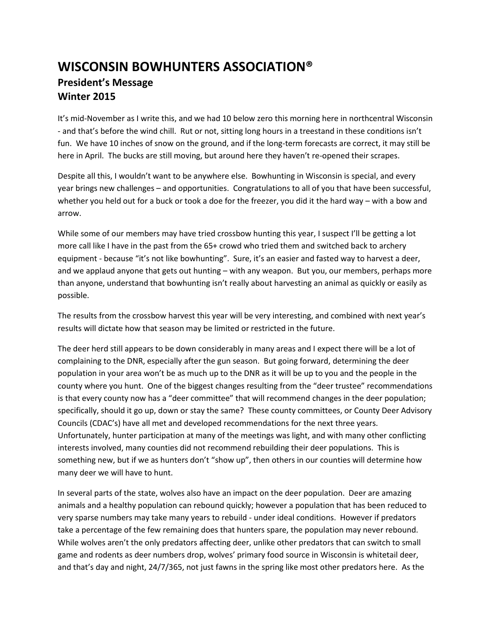## **WISCONSIN BOWHUNTERS ASSOCIATION® President's Message Winter 2015**

It's mid-November as I write this, and we had 10 below zero this morning here in northcentral Wisconsin - and that's before the wind chill. Rut or not, sitting long hours in a treestand in these conditions isn't fun. We have 10 inches of snow on the ground, and if the long-term forecasts are correct, it may still be here in April. The bucks are still moving, but around here they haven't re-opened their scrapes.

Despite all this, I wouldn't want to be anywhere else. Bowhunting in Wisconsin is special, and every year brings new challenges – and opportunities. Congratulations to all of you that have been successful, whether you held out for a buck or took a doe for the freezer, you did it the hard way – with a bow and arrow.

While some of our members may have tried crossbow hunting this year, I suspect I'll be getting a lot more call like I have in the past from the 65+ crowd who tried them and switched back to archery equipment - because "it's not like bowhunting". Sure, it's an easier and fasted way to harvest a deer, and we applaud anyone that gets out hunting – with any weapon. But you, our members, perhaps more than anyone, understand that bowhunting isn't really about harvesting an animal as quickly or easily as possible.

The results from the crossbow harvest this year will be very interesting, and combined with next year's results will dictate how that season may be limited or restricted in the future.

The deer herd still appears to be down considerably in many areas and I expect there will be a lot of complaining to the DNR, especially after the gun season. But going forward, determining the deer population in your area won't be as much up to the DNR as it will be up to you and the people in the county where you hunt. One of the biggest changes resulting from the "deer trustee" recommendations is that every county now has a "deer committee" that will recommend changes in the deer population; specifically, should it go up, down or stay the same? These county committees, or County Deer Advisory Councils (CDAC's) have all met and developed recommendations for the next three years. Unfortunately, hunter participation at many of the meetings was light, and with many other conflicting interests involved, many counties did not recommend rebuilding their deer populations. This is something new, but if we as hunters don't "show up", then others in our counties will determine how many deer we will have to hunt.

In several parts of the state, wolves also have an impact on the deer population. Deer are amazing animals and a healthy population can rebound quickly; however a population that has been reduced to very sparse numbers may take many years to rebuild - under ideal conditions. However if predators take a percentage of the few remaining does that hunters spare, the population may never rebound. While wolves aren't the only predators affecting deer, unlike other predators that can switch to small game and rodents as deer numbers drop, wolves' primary food source in Wisconsin is whitetail deer, and that's day and night, 24/7/365, not just fawns in the spring like most other predators here. As the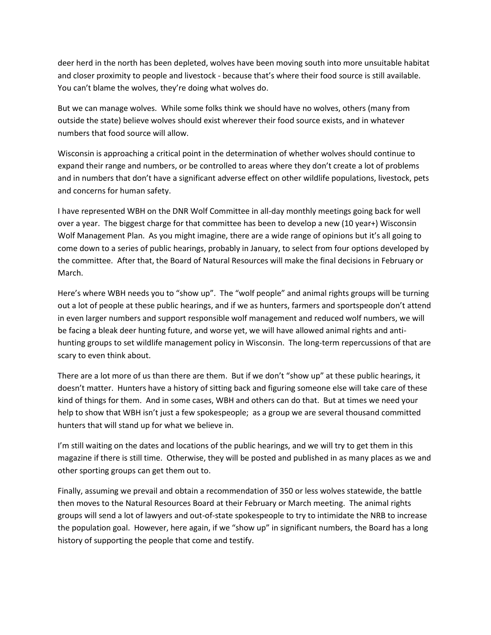deer herd in the north has been depleted, wolves have been moving south into more unsuitable habitat and closer proximity to people and livestock - because that's where their food source is still available. You can't blame the wolves, they're doing what wolves do.

But we can manage wolves. While some folks think we should have no wolves, others (many from outside the state) believe wolves should exist wherever their food source exists, and in whatever numbers that food source will allow.

Wisconsin is approaching a critical point in the determination of whether wolves should continue to expand their range and numbers, or be controlled to areas where they don't create a lot of problems and in numbers that don't have a significant adverse effect on other wildlife populations, livestock, pets and concerns for human safety.

I have represented WBH on the DNR Wolf Committee in all-day monthly meetings going back for well over a year. The biggest charge for that committee has been to develop a new (10 year+) Wisconsin Wolf Management Plan. As you might imagine, there are a wide range of opinions but it's all going to come down to a series of public hearings, probably in January, to select from four options developed by the committee. After that, the Board of Natural Resources will make the final decisions in February or March.

Here's where WBH needs you to "show up". The "wolf people" and animal rights groups will be turning out a lot of people at these public hearings, and if we as hunters, farmers and sportspeople don't attend in even larger numbers and support responsible wolf management and reduced wolf numbers, we will be facing a bleak deer hunting future, and worse yet, we will have allowed animal rights and antihunting groups to set wildlife management policy in Wisconsin. The long-term repercussions of that are scary to even think about.

There are a lot more of us than there are them. But if we don't "show up" at these public hearings, it doesn't matter. Hunters have a history of sitting back and figuring someone else will take care of these kind of things for them. And in some cases, WBH and others can do that. But at times we need your help to show that WBH isn't just a few spokespeople; as a group we are several thousand committed hunters that will stand up for what we believe in.

I'm still waiting on the dates and locations of the public hearings, and we will try to get them in this magazine if there is still time. Otherwise, they will be posted and published in as many places as we and other sporting groups can get them out to.

Finally, assuming we prevail and obtain a recommendation of 350 or less wolves statewide, the battle then moves to the Natural Resources Board at their February or March meeting. The animal rights groups will send a lot of lawyers and out-of-state spokespeople to try to intimidate the NRB to increase the population goal. However, here again, if we "show up" in significant numbers, the Board has a long history of supporting the people that come and testify.